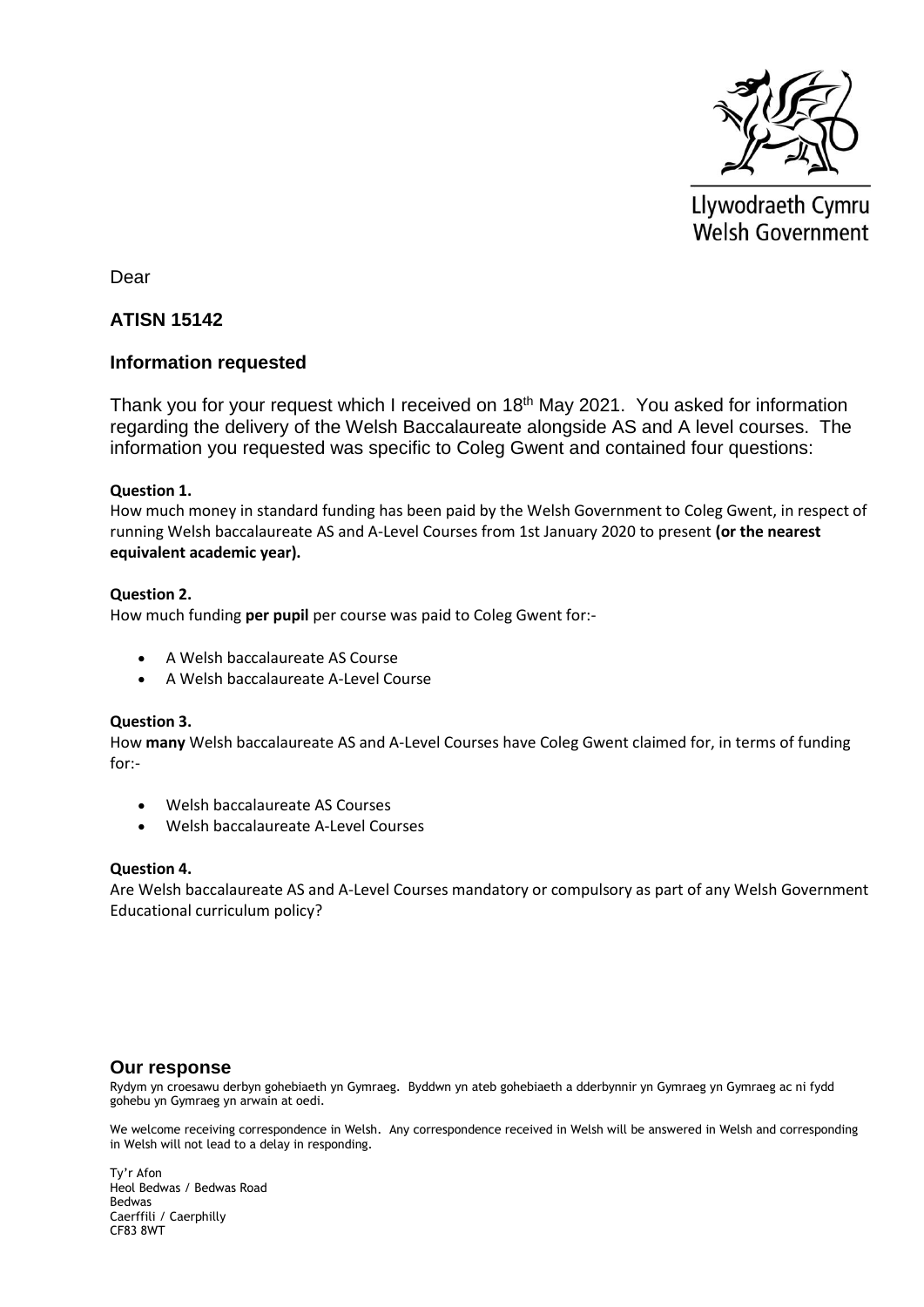

Llywodraeth Cymru Welsh Government

Dear

# **ATISN 15142**

### **Information requested**

Thank you for your request which I received on 18<sup>th</sup> May 2021. You asked for information regarding the delivery of the Welsh Baccalaureate alongside AS and A level courses. The information you requested was specific to Coleg Gwent and contained four questions:

### **Question 1.**

How much money in standard funding has been paid by the Welsh Government to Coleg Gwent, in respect of running Welsh baccalaureate AS and A-Level Courses from 1st January 2020 to present **(or the nearest equivalent academic year).**

### **Question 2.**

How much funding **per pupil** per course was paid to Coleg Gwent for:-

- A Welsh baccalaureate AS Course
- A Welsh baccalaureate A-Level Course

#### **Question 3.**

How **many** Welsh baccalaureate AS and A-Level Courses have Coleg Gwent claimed for, in terms of funding for:-

- Welsh baccalaureate AS Courses
- Welsh baccalaureate A-Level Courses

#### **Question 4.**

Are Welsh baccalaureate AS and A-Level Courses mandatory or compulsory as part of any Welsh Government Educational curriculum policy?

#### **Our response**

Rydym yn croesawu derbyn gohebiaeth yn Gymraeg. Byddwn yn ateb gohebiaeth a dderbynnir yn Gymraeg yn Gymraeg ac ni fydd gohebu yn Gymraeg yn arwain at oedi.

We welcome receiving correspondence in Welsh. Any correspondence received in Welsh will be answered in Welsh and corresponding in Welsh will not lead to a delay in responding.

Ty'r Afon Heol Bedwas / Bedwas Road Bedwas Caerffili / Caerphilly CF83 8WT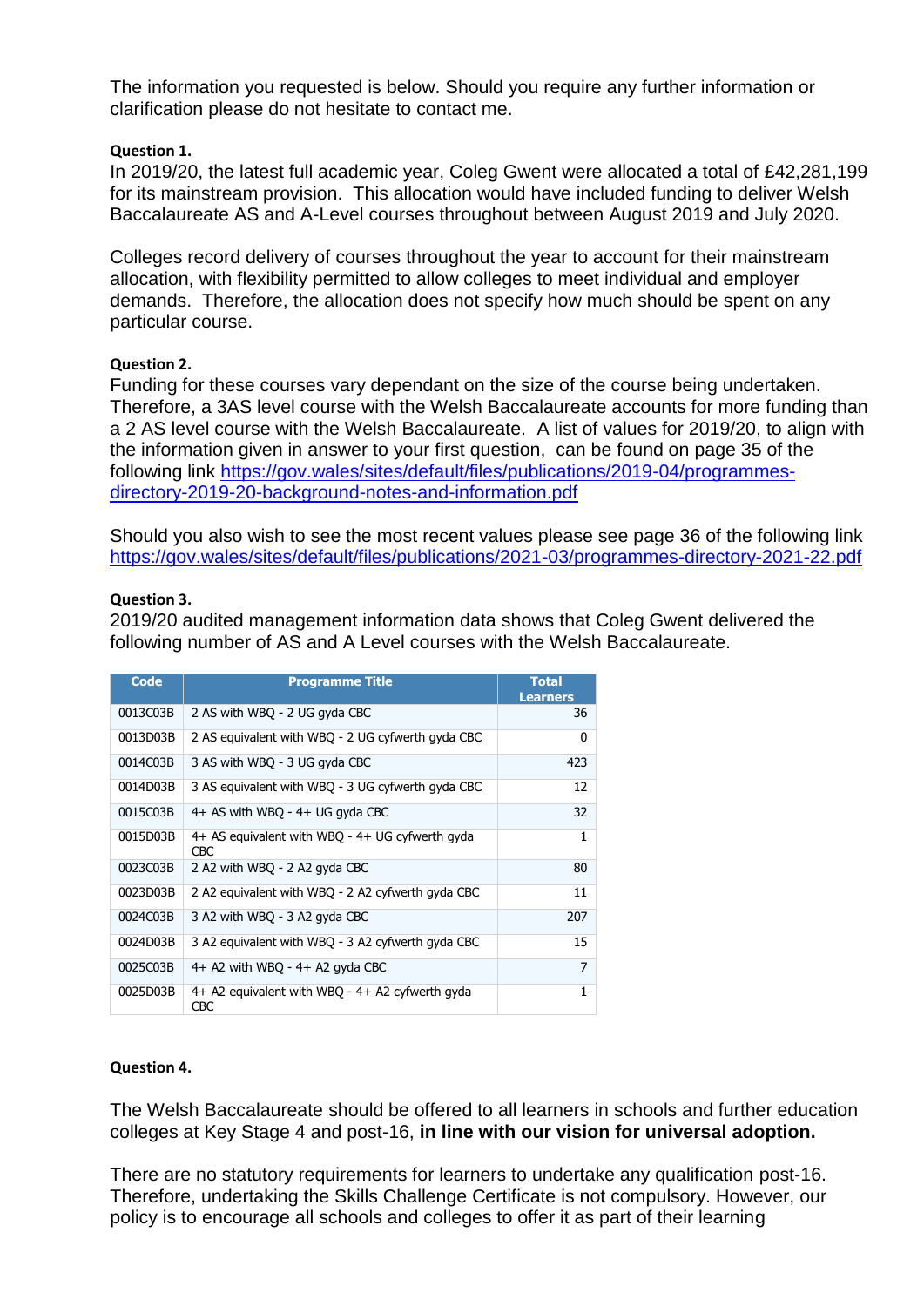The information you requested is below. Should you require any further information or clarification please do not hesitate to contact me.

## **Question 1.**

In 2019/20, the latest full academic year, Coleg Gwent were allocated a total of £42,281,199 for its mainstream provision. This allocation would have included funding to deliver Welsh Baccalaureate AS and A-Level courses throughout between August 2019 and July 2020.

Colleges record delivery of courses throughout the year to account for their mainstream allocation, with flexibility permitted to allow colleges to meet individual and employer demands. Therefore, the allocation does not specify how much should be spent on any particular course.

### **Question 2.**

Funding for these courses vary dependant on the size of the course being undertaken. Therefore, a 3AS level course with the Welsh Baccalaureate accounts for more funding than a 2 AS level course with the Welsh Baccalaureate. A list of values for 2019/20, to align with the information given in answer to your first question, can be found on page 35 of the following link [https://gov.wales/sites/default/files/publications/2019-04/programmes](https://gov.wales/sites/default/files/publications/2019-04/programmes-directory-2019-20-background-notes-and-information.pdf)[directory-2019-20-background-notes-and-information.pdf](https://gov.wales/sites/default/files/publications/2019-04/programmes-directory-2019-20-background-notes-and-information.pdf) 

Should you also wish to see the most recent values please see page 36 of the following link <https://gov.wales/sites/default/files/publications/2021-03/programmes-directory-2021-22.pdf>

### **Question 3.**

2019/20 audited management information data shows that Coleg Gwent delivered the following number of AS and A Level courses with the Welsh Baccalaureate.

| Code     | <b>Programme Title</b>                                        | <b>Total</b><br><b>Learners</b> |
|----------|---------------------------------------------------------------|---------------------------------|
| 0013C03B | 2 AS with WBQ - 2 UG gyda CBC                                 | 36                              |
| 0013D03B | 2 AS equivalent with WBQ - 2 UG cyfwerth gyda CBC             | 0                               |
| 0014C03B | 3 AS with WBQ - 3 UG gyda CBC                                 | 423                             |
| 0014D03B | 3 AS equivalent with WBQ - 3 UG cyfwerth gyda CBC             | 12                              |
| 0015C03B | 4+ AS with WBQ - 4+ UG gyda CBC                               | 32                              |
| 0015D03B | 4+ AS equivalent with WBQ - 4+ UG cyfwerth gyda<br><b>CBC</b> | 1                               |
| 0023C03B | 2 A2 with WBQ - 2 A2 gyda CBC                                 | 80                              |
| 0023D03B | 2 A2 equivalent with WBQ - 2 A2 cyfwerth gyda CBC             | 11                              |
| 0024C03B | 3 A2 with WBQ - 3 A2 gyda CBC                                 | 207                             |
| 0024D03B | 3 A2 equivalent with WBQ - 3 A2 cyfwerth gyda CBC             | 15                              |
| 0025C03B | $4+$ A2 with WBQ - $4+$ A2 gyda CBC                           | 7                               |
| 0025D03B | $4+$ A2 equivalent with WBQ - $4+$ A2 cyfwerth gyda<br>CBC    | 1                               |

### **Question 4.**

The Welsh Baccalaureate should be offered to all learners in schools and further education colleges at Key Stage 4 and post-16, **in line with our vision for universal adoption.** 

There are no statutory requirements for learners to undertake any qualification post-16. Therefore, undertaking the Skills Challenge Certificate is not compulsory. However, our policy is to encourage all schools and colleges to offer it as part of their learning